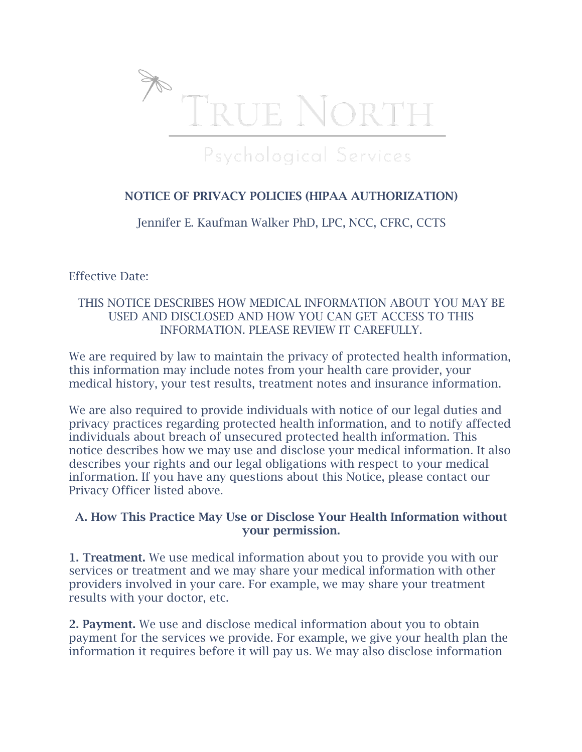

# NOTICE OF PRIVACY POLICIES (HIPAA AUTHORIZATION)

Jennifer E. Kaufman Walker PhD, LPC, NCC, CFRC, CCTS

Effective Date:

### THIS NOTICE DESCRIBES HOW MEDICAL INFORMATION ABOUT YOU MAY BE USED AND DISCLOSED AND HOW YOU CAN GET ACCESS TO THIS INFORMATION. PLEASE REVIEW IT CAREFULLY.

We are required by law to maintain the privacy of protected health information, this information may include notes from your health care provider, your medical history, your test results, treatment notes and insurance information.

We are also required to provide individuals with notice of our legal duties and privacy practices regarding protected health information, and to notify affected individuals about breach of unsecured protected health information. This notice describes how we may use and disclose your medical information. It also describes your rights and our legal obligations with respect to your medical information. If you have any questions about this Notice, please contact our Privacy Officer listed above.

### A. How This Practice May Use or Disclose Your Health Information without your permission.

1. Treatment. We use medical information about you to provide you with our services or treatment and we may share your medical information with other providers involved in your care. For example, we may share your treatment results with your doctor, etc.

2. Payment. We use and disclose medical information about you to obtain payment for the services we provide. For example, we give your health plan the information it requires before it will pay us. We may also disclose information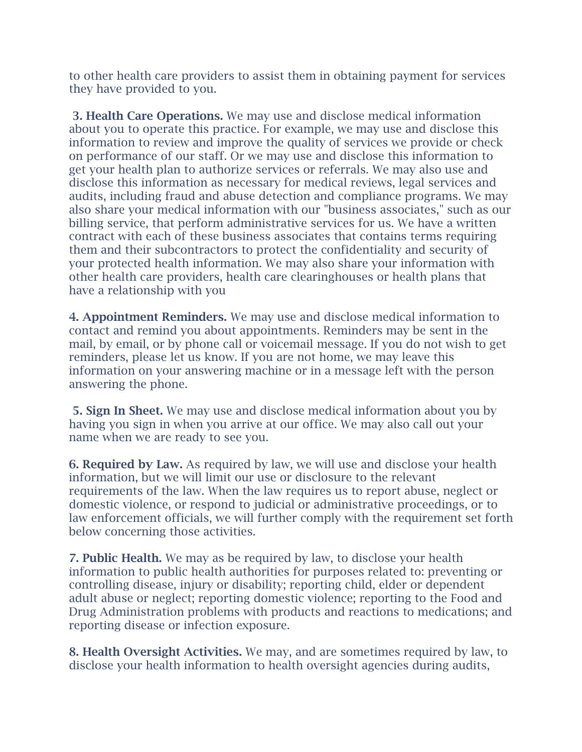to other health care providers to assist them in obtaining payment for services they have provided to you.

3. Health Care Operations. We may use and disclose medical information about you to operate this practice. For example, we may use and disclose this information to review and improve the quality of services we provide or check on performance of our staff. Or we may use and disclose this information to get your health plan to authorize services or referrals. We may also use and disclose this information as necessary for medical reviews, legal services and audits, including fraud and abuse detection and compliance programs. We may also share your medical information with our "business associates," such as our billing service, that perform administrative services for us. We have a written contract with each of these business associates that contains terms requiring them and their subcontractors to protect the confidentiality and security of your protected health information. We may also share your information with other health care providers, health care clearinghouses or health plans that have a relationship with you

4. Appointment Reminders. We may use and disclose medical information to contact and remind you about appointments. Reminders may be sent in the mail, by email, or by phone call or voicemail message. If you do not wish to get reminders, please let us know. If you are not home, we may leave this information on your answering machine or in a message left with the person answering the phone.

5. Sign In Sheet. We may use and disclose medical information about you by having you sign in when you arrive at our office. We may also call out your name when we are ready to see you.

6. Required by Law. As required by law, we will use and disclose your health information, but we will limit our use or disclosure to the relevant requirements of the law. When the law requires us to report abuse, neglect or domestic violence, or respond to judicial or administrative proceedings, or to law enforcement officials, we will further comply with the requirement set forth below concerning those activities.

7. Public Health. We may as be required by law, to disclose your health information to public health authorities for purposes related to: preventing or controlling disease, injury or disability; reporting child, elder or dependent adult abuse or neglect; reporting domestic violence; reporting to the Food and Drug Administration problems with products and reactions to medications; and reporting disease or infection exposure.

8. Health Oversight Activities. We may, and are sometimes required by law, to disclose your health information to health oversight agencies during audits,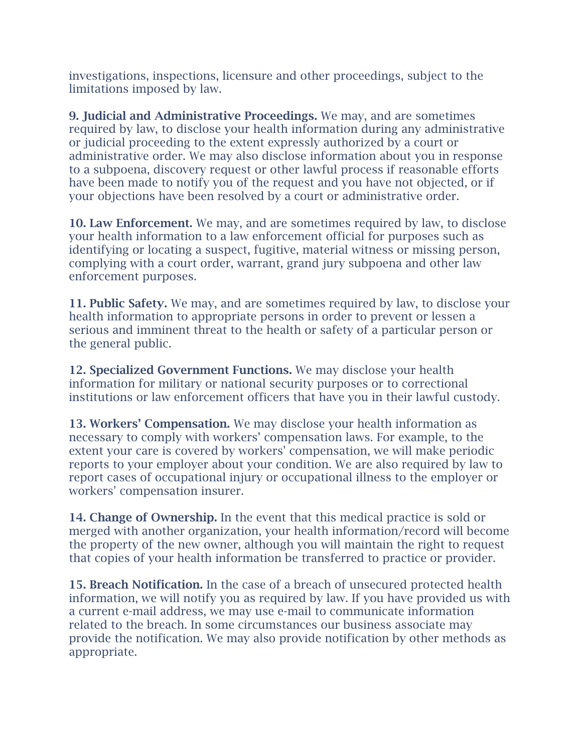investigations, inspections, licensure and other proceedings, subject to the limitations imposed by law.

9. Judicial and Administrative Proceedings. We may, and are sometimes required by law, to disclose your health information during any administrative or judicial proceeding to the extent expressly authorized by a court or administrative order. We may also disclose information about you in response to a subpoena, discovery request or other lawful process if reasonable efforts have been made to notify you of the request and you have not objected, or if your objections have been resolved by a court or administrative order.

10. Law Enforcement. We may, and are sometimes required by law, to disclose your health information to a law enforcement official for purposes such as identifying or locating a suspect, fugitive, material witness or missing person, complying with a court order, warrant, grand jury subpoena and other law enforcement purposes.

11. Public Safety. We may, and are sometimes required by law, to disclose your health information to appropriate persons in order to prevent or lessen a serious and imminent threat to the health or safety of a particular person or the general public.

12. Specialized Government Functions. We may disclose your health information for military or national security purposes or to correctional institutions or law enforcement officers that have you in their lawful custody.

13. Workers' Compensation. We may disclose your health information as necessary to comply with workers' compensation laws. For example, to the extent your care is covered by workers' compensation, we will make periodic reports to your employer about your condition. We are also required by law to report cases of occupational injury or occupational illness to the employer or workers' compensation insurer.

14. Change of Ownership. In the event that this medical practice is sold or merged with another organization, your health information/record will become the property of the new owner, although you will maintain the right to request that copies of your health information be transferred to practice or provider.

15. Breach Notification. In the case of a breach of unsecured protected health information, we will notify you as required by law. If you have provided us with a current e-mail address, we may use e-mail to communicate information related to the breach. In some circumstances our business associate may provide the notification. We may also provide notification by other methods as appropriate.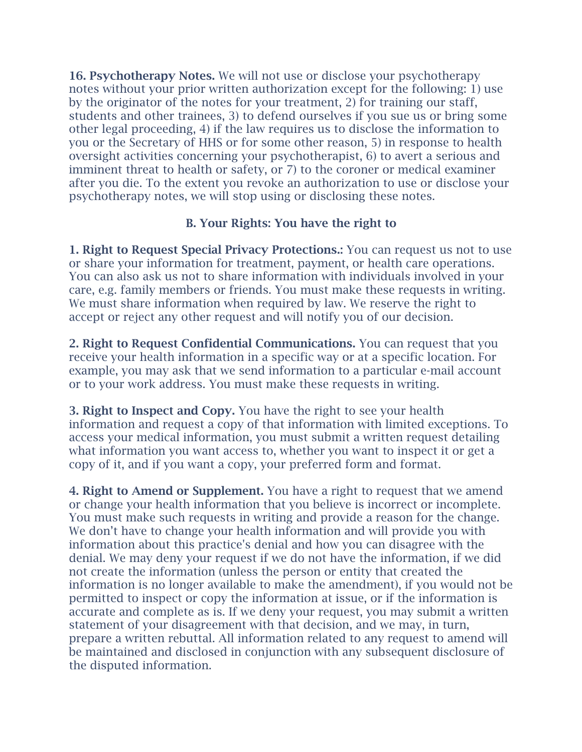16. Psychotherapy Notes. We will not use or disclose your psychotherapy notes without your prior written authorization except for the following: 1) use by the originator of the notes for your treatment, 2) for training our staff, students and other trainees, 3) to defend ourselves if you sue us or bring some other legal proceeding, 4) if the law requires us to disclose the information to you or the Secretary of HHS or for some other reason, 5) in response to health oversight activities concerning your psychotherapist, 6) to avert a serious and imminent threat to health or safety, or 7) to the coroner or medical examiner after you die. To the extent you revoke an authorization to use or disclose your psychotherapy notes, we will stop using or disclosing these notes.

### B. Your Rights: You have the right to

1. Right to Request Special Privacy Protections.: You can request us not to use or share your information for treatment, payment, or health care operations. You can also ask us not to share information with individuals involved in your care, e.g. family members or friends. You must make these requests in writing. We must share information when required by law. We reserve the right to accept or reject any other request and will notify you of our decision.

2. Right to Request Confidential Communications. You can request that you receive your health information in a specific way or at a specific location. For example, you may ask that we send information to a particular e-mail account or to your work address. You must make these requests in writing.

3. Right to Inspect and Copy. You have the right to see your health information and request a copy of that information with limited exceptions. To access your medical information, you must submit a written request detailing what information you want access to, whether you want to inspect it or get a copy of it, and if you want a copy, your preferred form and format.

4. Right to Amend or Supplement. You have a right to request that we amend or change your health information that you believe is incorrect or incomplete. You must make such requests in writing and provide a reason for the change. We don't have to change your health information and will provide you with information about this practice's denial and how you can disagree with the denial. We may deny your request if we do not have the information, if we did not create the information (unless the person or entity that created the information is no longer available to make the amendment), if you would not be permitted to inspect or copy the information at issue, or if the information is accurate and complete as is. If we deny your request, you may submit a written statement of your disagreement with that decision, and we may, in turn, prepare a written rebuttal. All information related to any request to amend will be maintained and disclosed in conjunction with any subsequent disclosure of the disputed information.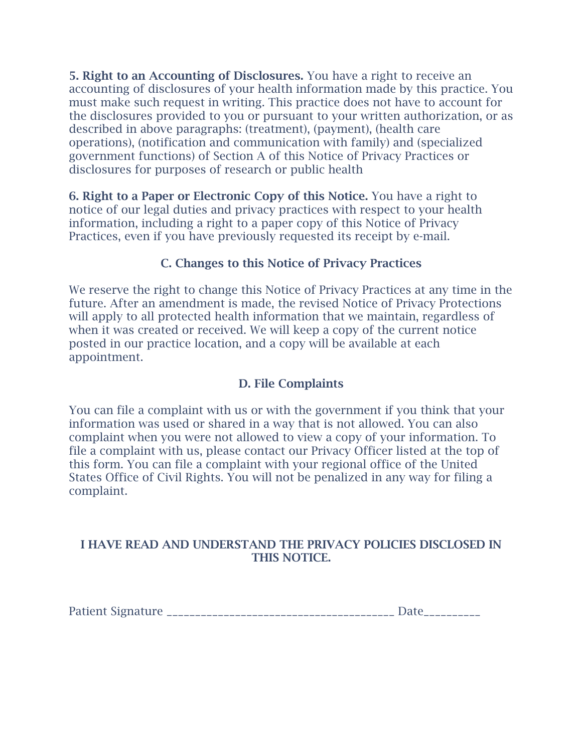5. Right to an Accounting of Disclosures. You have a right to receive an accounting of disclosures of your health information made by this practice. You must make such request in writing. This practice does not have to account for the disclosures provided to you or pursuant to your written authorization, or as described in above paragraphs: (treatment), (payment), (health care operations), (notification and communication with family) and (specialized government functions) of Section A of this Notice of Privacy Practices or disclosures for purposes of research or public health

6. Right to a Paper or Electronic Copy of this Notice. You have a right to notice of our legal duties and privacy practices with respect to your health information, including a right to a paper copy of this Notice of Privacy Practices, even if you have previously requested its receipt by e-mail.

# C. Changes to this Notice of Privacy Practices

We reserve the right to change this Notice of Privacy Practices at any time in the future. After an amendment is made, the revised Notice of Privacy Protections will apply to all protected health information that we maintain, regardless of when it was created or received. We will keep a copy of the current notice posted in our practice location, and a copy will be available at each appointment.

### D. File Complaints

You can file a complaint with us or with the government if you think that your information was used or shared in a way that is not allowed. You can also complaint when you were not allowed to view a copy of your information. To file a complaint with us, please contact our Privacy Officer listed at the top of this form. You can file a complaint with your regional office of the United States Office of Civil Rights. You will not be penalized in any way for filing a complaint.

### I HAVE READ AND UNDERSTAND THE PRIVACY POLICIES DISCLOSED IN THIS NOTICE.

Patient Signature \_\_\_\_\_\_\_\_\_\_\_\_\_\_\_\_\_\_\_\_\_\_\_\_\_\_\_\_\_\_\_\_\_\_\_\_\_\_\_\_ Date\_\_\_\_\_\_\_\_\_\_